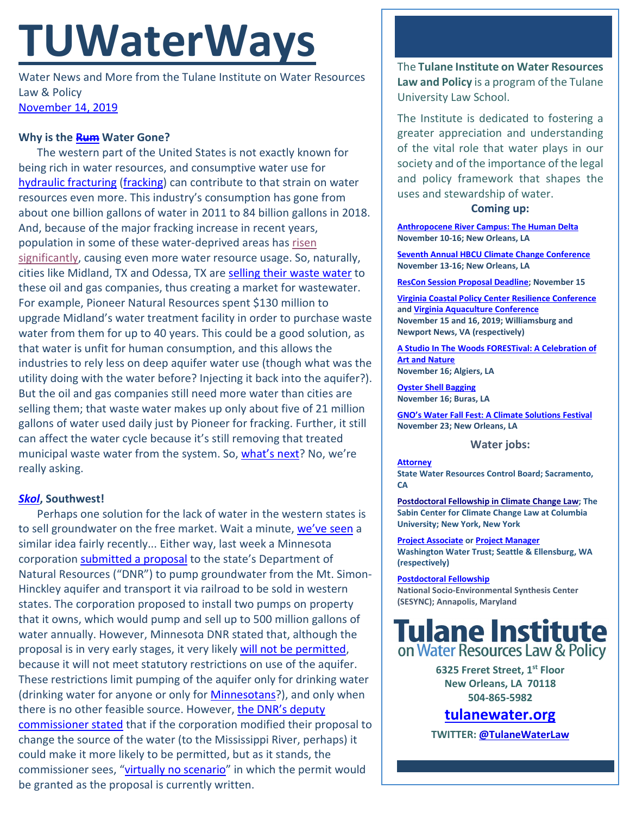# **TUWaterWays**

Water News and More from the Tulane Institute on Water Resources Law & Policy [November 14, 2019](https://thisdayinwaterhistory.wordpress.com/)

### **Why is the [Rum](https://www.youtube.com/watch?v=OqJLEpgwsKg) Water Gone?**

The western part of the United States is not exactly known for being rich in water resources, and consumptive water use for [hydraulic fracturing](https://www.nationalgeographic.org/media/how-hydraulic-fracturing-works/) [\(fracking\)](https://www.youtube.com/watch?v=D0Q_SnlVvQc) can contribute to that strain on water resources even more. This industry's consumption has gone from about one billion gallons of water in 2011 to 84 billion gallons in 2018. And, because of the major fracking increase in recent years, population in some of these water-deprived areas has risen [significantly,](https://www.cnn.com/2019/11/06/business/midland-texas-boomtown/index.html) causing even more water resource usage. So, naturally, cities like Midland, TX and Odessa, TX are [selling their waste water](https://www.cnn.com/2019/11/08/business/oil-fracking-water/index.html) to these oil and gas companies, thus creating a market for wastewater. For example, Pioneer Natural Resources spent \$130 million to upgrade Midland's water treatment facility in order to purchase waste water from them for up to 40 years. This could be a good solution, as that water is unfit for human consumption, and this allows the industries to rely less on deep aquifer water use (though what was the utility doing with the water before? Injecting it back into the aquifer?). But the oil and gas companies still need more water than cities are selling them; that waste water makes up only about five of 21 million gallons of water used daily just by Pioneer for fracking. Further, it still can affect the water cycle because it's still removing that treated municipal waste water from the system. So, [what's next?](https://www.youtube.com/watch?v=gSUHgAp7V7c) No, we're really asking.

#### *[Skol](https://www.youtube.com/watch?v=wQgT1kgFqt4)***, Southwest!**

Perhaps one solution for the lack of water in the western states is to sell groundwater on the free market. Wait a minute, [we've seen](http://docs.wixstatic.com/ugd/32079b_d979d9a937c4432996f04cc6f3c3046c.pdf) a similar idea fairly recently... Either way, last week a Minnesota corporation [submitted a proposal](https://www.mprnews.org/story/2019/11/05/shipping-minnesota-water-to-sate-a-thirsty-world-could-it-happen) to the state's Department of Natural Resources ("DNR") to pump groundwater from the Mt. Simon-Hinckley aquifer and transport it via railroad to be sold in western states. The corporation proposed to install two pumps on property that it owns, which would pump and sell up to 500 million gallons of water annually. However, Minnesota DNR stated that, although the proposal is in very early stages, it very likely [will not be permitted,](https://www.willmarradio.com/news/dnr-opposes-shipping-minnesota-water-to-western-states/article_ed39c9fc-fd6f-11e9-890f-8be8d8280cbb.html) because it will not meet statutory restrictions on use of the aquifer. These restrictions limit pumping of the aquifer only for drinking water (drinking water for anyone or only for **Minnesotans**?), and only when there is no other feasible source. However, the DNR's deputy [commissioner stated](https://www.mprnews.org/story/2019/11/01/dnr-plan-to-ship-minnesota-groundwater-to-the-southwest-wont-float) that if the corporation modified their proposal to change the source of the water (to the Mississippi River, perhaps) it could make it more likely to be permitted, but as it stands, the commissioner sees, ["virtually no scenario"](http://www.startribune.com/minnesota-dnr-virtually-no-scenario-for-water-transfer/564246722/) in which the permit would be granted as the proposal is currently written.

The **Tulane Institute on Water Resources Law and Policy** is a program of the Tulane University Law School.

The Institute is dedicated to fostering a greater appreciation and understanding of the vital role that water plays in our society and of the importance of the legal and policy framework that shapes the uses and stewardship of water.

#### **Coming up:**

**[Anthropocene River Campus: The Human Delta](https://news.tulane.edu/pr/human-impact-mississippi-river-region-planet-subject-tulane-conference) November 10-16; New Orleans, LA**

**[Seventh Annual HBCU Climate Change Conference](http://www.dscej.org/seventh-hbcu-climate-change-conference) November 13-16; New Orleans, LA**

**[ResCon Session Proposal Deadline;](https://resconnola.com/call-for-ideas/) November 15**

**[Virginia Coastal Policy Center Resilience Conference](https://www.eventbrite.com/e/vcpcs-7th-annual-conference-the-three-ps-of-resilience-tickets-66101478301) an[d Virginia Aquaculture Conference](http://www.vaaquacultureconference.com/) November 15 and 16, 2019; Williamsburg and Newport News, VA (respectively)**

**A [Studio In The Woods FORESTival: A Celebration of](http://www.astudiointhewoods.org/programs/forestival/)  [Art and Nature](http://www.astudiointhewoods.org/programs/forestival/) November 16; Algiers, LA**

**[Oyster Shell Bagging](https://www.eventbrite.com/e/oyster-shell-bagging-coastal-louisiana-reef-restoration-dow-and-public-november-16th-2019-tickets-70078612015) November 16; Buras, LA**

**GNO's Water [Fall Fest: A Climate Solutions Festival](https://www.eventbrite.com/e/water-fall-fest-a-climate-solutions-festival-tickets-76261739917) November 23; New Orleans, LA**

#### **Water jobs:**

**[Attorney](https://jobs.ca.gov/CalHrPublic/Jobs/JobPosting.aspx?JobControlId=168309) State Water Resources Control Board; Sacramento, CA**

**[Postdoctoral Fellowship in Climate Change Law;](https://pa334.peopleadmin.com/postings/4257) The Sabin Center for Climate Change Law at Columbia University; New York, New York**

**[Project Associate](https://www.joshswaterjobs.com/jobs/18175) o[r Project Manager](https://www.joshswaterjobs.com/jobs/18174) Washington Water Trust; Seattle & Ellensburg, WA (respectively)**

**[Postdoctoral Fellowship](https://www.sesync.org/opportunities/research-fellowships-postdoctoral-fellowships/socio-environmental-immersion-1) National Socio-Environmental Synthesis Center (SESYNC); Annapolis, Maryland**

# **Tulane Institute** on Water Resources Law & Policy

**6325 Freret Street, 1st Floor New Orleans, LA 70118 504-865-5982** 

## **tulanewater.org**

**TWITTER[: @TulaneWaterLaw](http://www.twitter.com/TulaneWaterLaw)**